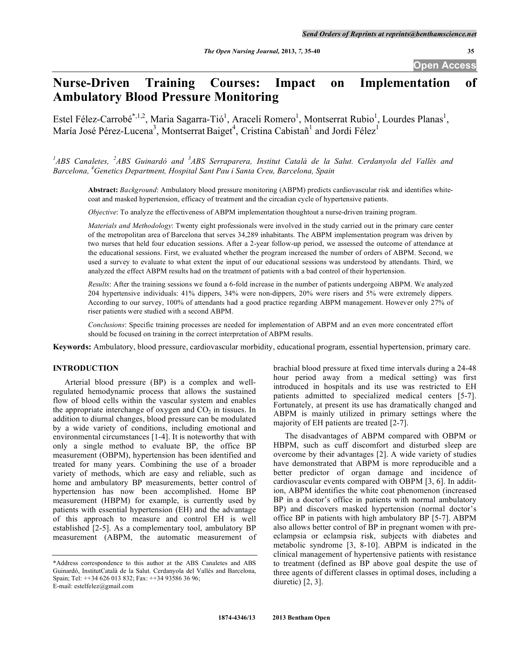**Open Access** 

# **Nurse-Driven Training Courses: Impact on Implementation of Ambulatory Blood Pressure Monitoring**

Estel Félez-Carrobé<sup>\*,1,2</sup>, Maria Sagarra-Tió<sup>1</sup>, Araceli Romero<sup>1</sup>, Montserrat Rubio<sup>1</sup>, Lourdes Planas<sup>1</sup>, María José Pérez-Lucena<sup>3</sup>, Montserrat Baiget<sup>4</sup>, Cristina Cabistañ<sup>1</sup> and Jordi Félez<sup>1</sup>

<sup>1</sup>ABS Canaletes, <sup>2</sup>ABS Guinardó and <sup>3</sup>ABS Serraparera, Institut Català de la Salut. Cerdanyola del Vallès and *Barcelona, 4 Genetics Department, Hospital Sant Pau i Santa Creu, Barcelona, Spain* 

**Abstract:** *Background*: Ambulatory blood pressure monitoring (ABPM) predicts cardiovascular risk and identifies whitecoat and masked hypertension, efficacy of treatment and the circadian cycle of hypertensive patients.

*Objective*: To analyze the effectiveness of ABPM implementation thoughtout a nurse-driven training program.

*Materials and Methodology*: Twenty eight professionals were involved in the study carried out in the primary care center of the metropolitan area of Barcelona that serves 34,289 inhabitants. The ABPM implementation program was driven by two nurses that held four education sessions. After a 2-year follow-up period, we assessed the outcome of attendance at the educational sessions. First, we evaluated whether the program increased the number of orders of ABPM. Second, we used a survey to evaluate to what extent the input of our educational sessions was understood by attendants. Third, we analyzed the effect ABPM results had on the treatment of patients with a bad control of their hypertension.

*Results*: After the training sessions we found a 6-fold increase in the number of patients undergoing ABPM. We analyzed 204 hypertensive individuals: 41% dippers, 34% were non-dippers, 20% were risers and 5% were extremely dippers. According to our survey, 100% of attendants had a good practice regarding ABPM management. However only 27% of riser patients were studied with a second ABPM.

*Conclusions*: Specific training processes are needed for implementation of ABPM and an even more concentrated effort should be focused on training in the correct interpretation of ABPM results.

**Keywords:** Ambulatory, blood pressure, cardiovascular morbidity, educational program, essential hypertension, primary care.

# **INTRODUCTION**

 Arterial blood pressure (BP) is a complex and wellregulated hemodynamic process that allows the sustained flow of blood cells within the vascular system and enables the appropriate interchange of oxygen and  $CO<sub>2</sub>$  in tissues. In addition to diurnal changes, blood pressure can be modulated by a wide variety of conditions, including emotional and environmental circumstances [1-4]. It is noteworthy that with only a single method to evaluate BP, the office BP measurement (OBPM), hypertension has been identified and treated for many years. Combining the use of a broader variety of methods, which are easy and reliable, such as home and ambulatory BP measurements, better control of hypertension has now been accomplished. Home BP measurement (HBPM) for example, is currently used by patients with essential hypertension (EH) and the advantage of this approach to measure and control EH is well established [2-5]. As a complementary tool, ambulatory BP measurement (ABPM, the automatic measurement of brachial blood pressure at fixed time intervals during a 24-48 hour period away from a medical setting) was first introduced in hospitals and its use was restricted to EH patients admitted to specialized medical centers [5-7]. Fortunately, at present its use has dramatically changed and ABPM is mainly utilized in primary settings where the majority of EH patients are treated [2-7].

 The disadvantages of ABPM compared with OBPM or HBPM, such as cuff discomfort and disturbed sleep are overcome by their advantages [2]. A wide variety of studies have demonstrated that ABPM is more reproducible and a better predictor of organ damage and incidence of cardiovascular events compared with OBPM [3, 6]. In addition, ABPM identifies the white coat phenomenon (increased BP in a doctor's office in patients with normal ambulatory BP) and discovers masked hypertension (normal doctor's office BP in patients with high ambulatory BP [5-7]. ABPM also allows better control of BP in pregnant women with preeclampsia or eclampsia risk, subjects with diabetes and metabolic syndrome [3, 8-10]. ABPM is indicated in the clinical management of hypertensive patients with resistance to treatment (defined as BP above goal despite the use of three agents of different classes in optimal doses, including a diuretic) [2, 3].

<sup>\*</sup>Address correspondence to this author at the ABS Canaletes and ABS Guinardó, InstitutCatalà de la Salut. Cerdanyola del Vallès and Barcelona, Spain; Tel: ++34 626 013 832; Fax: ++34 93586 36 96; E-mail: estelfelez@gmail.com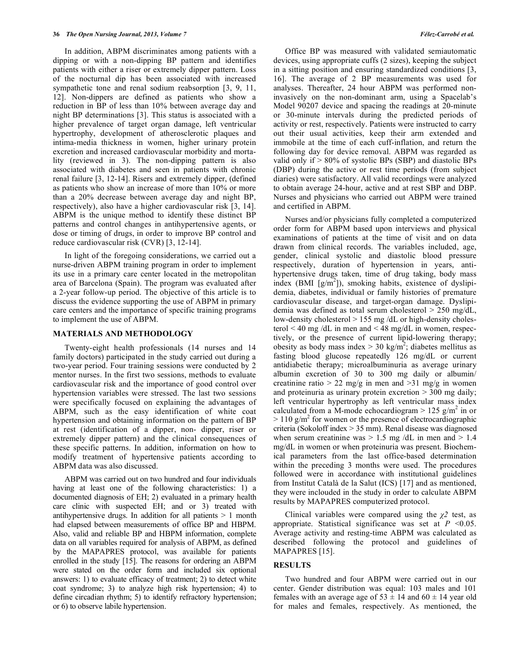In addition, ABPM discriminates among patients with a dipping or with a non-dipping BP pattern and identifies patients with either a riser or extremely dipper pattern. Loss of the nocturnal dip has been associated with increased sympathetic tone and renal sodium reabsorption [3, 9, 11, 12]. Non-dippers are defined as patients who show a reduction in BP of less than 10% between average day and night BP determinations [3]. This status is associated with a higher prevalence of target organ damage, left ventricular hypertrophy, development of atherosclerotic plaques and intima-media thickness in women, higher urinary protein excretion and increased cardiovascular morbidity and mortality (reviewed in 3). The non-dipping pattern is also associated with diabetes and seen in patients with chronic renal failure [3, 12-14]. Risers and extremely dipper, (defined as patients who show an increase of more than 10% or more than a 20% decrease between average day and night BP, respectively), also have a higher cardiovascular risk [3, 14]. ABPM is the unique method to identify these distinct BP patterns and control changes in antihypertensive agents, or dose or timing of drugs, in order to improve BP control and reduce cardiovascular risk (CVR) [3, 12-14].

 In light of the foregoing considerations, we carried out a nurse-driven ABPM training program in order to implement its use in a primary care center located in the metropolitan area of Barcelona (Spain). The program was evaluated after a 2-year follow-up period. The objective of this article is to discuss the evidence supporting the use of ABPM in primary care centers and the importance of specific training programs to implement the use of ABPM.

#### **MATERIALS AND METHODOLOGY**

 Twenty-eight health professionals (14 nurses and 14 family doctors) participated in the study carried out during a two-year period. Four training sessions were conducted by 2 mentor nurses. In the first two sessions, methods to evaluate cardiovascular risk and the importance of good control over hypertension variables were stressed. The last two sessions were specifically focused on explaining the advantages of ABPM, such as the easy identification of white coat hypertension and obtaining information on the pattern of BP at rest (identification of a dipper, non- dipper, riser or extremely dipper pattern) and the clinical consequences of these specific patterns. In addition, information on how to modify treatment of hypertensive patients according to ABPM data was also discussed.

 ABPM was carried out on two hundred and four individuals having at least one of the following characteristics: 1) a documented diagnosis of EH; 2) evaluated in a primary health care clinic with suspected EH; and or 3) treated with antihypertensive drugs. In addition for all patients  $> 1$  month had elapsed between measurements of office BP and HBPM. Also, valid and reliable BP and HBPM information, complete data on all variables required for analysis of ABPM, as defined by the MAPAPRES protocol, was available for patients enrolled in the study [15]. The reasons for ordering an ABPM were stated on the order form and included six optional answers: 1) to evaluate efficacy of treatment; 2) to detect white coat syndrome; 3) to analyze high risk hypertension; 4) to define circadian rhythm; 5) to identify refractory hypertension; or 6) to observe labile hypertension.

 Office BP was measured with validated semiautomatic devices, using appropriate cuffs (2 sizes), keeping the subject in a sitting position and ensuring standardized conditions [3, 16]. The average of 2 BP measurements was used for analyses. Thereafter, 24 hour ABPM was performed noninvasively on the non-dominant arm, using a Spacelab's Model 90207 device and spacing the readings at 20-minute or 30-minute intervals during the predicted periods of activity or rest, respectively. Patients were instructed to carry out their usual activities, keep their arm extended and immobile at the time of each cuff-inflation, and return the following day for device removal. ABPM was regarded as valid only if > 80% of systolic BPs (SBP) and diastolic BPs (DBP) during the active or rest time periods (from subject diaries) were satisfactory. All valid recordings were analyzed to obtain average 24-hour, active and at rest SBP and DBP. Nurses and physicians who carried out ABPM were trained and certified in ABPM.

 Nurses and/or physicians fully completed a computerized order form for ABPM based upon interviews and physical examinations of patients at the time of visit and on data drawn from clinical records. The variables included, age, gender, clinical systolic and diastolic blood pressure respectively, duration of hypertension in years, antihypertensive drugs taken, time of drug taking, body mass index (BMI [g/m<sup>2</sup>]), smoking habits, existence of dyslipidemia, diabetes, individual or family histories of premature cardiovascular disease, and target-organ damage. Dyslipidemia was defined as total serum cholesterol > 250 mg/dL, low-density cholesterol > 155 mg /dL or high-density cholesterol < 40 mg /dL in men and < 48 mg/dL in women, respectively, or the presence of current lipid-lowering therapy; obesity as body mass index  $>$  30 kg/m<sup>2</sup>; diabetes mellitus as fasting blood glucose repeatedly 126 mg/dL or current antidiabetic therapy; microalbuminuria as average urinary albumin excretion of 30 to 300 mg daily or albumin/ creatinine ratio  $> 22$  mg/g in men and  $> 31$  mg/g in women and proteinuria as urinary protein excretion > 300 mg daily; left ventricular hypertrophy as left ventricular mass index calculated from a M-mode echocardiogram  $> 125$  g/m<sup>2</sup> in or  $> 110$  g/m<sup>2</sup> for women or the presence of electrocardiographic criteria (Sokoloff index > 35 mm). Renal disease was diagnosed when serum creatinine was  $> 1.5$  mg /dL in men and  $> 1.4$ mg/dL in women or when proteinuria was present. Biochemical parameters from the last office-based determination within the preceding 3 months were used. The procedures followed were in accordance with institutional guidelines from Institut Català de la Salut (ICS) [17] and as mentioned, they were inclouded in the study in order to calculate ABPM results by MAPAPRES computerized protocol.

Clinical variables were compared using the  $\chi^2$  test, as appropriate. Statistical significance was set at  $P \leq 0.05$ . Average activity and resting-time ABPM was calculated as described following the protocol and guidelines of MAPAPRES [15].

### **RESULTS**

 Two hundred and four ABPM were carried out in our center. Gender distribution was equal: 103 males and 101 females with an average age of  $53 \pm 14$  and  $60 \pm 14$  year old for males and females, respectively. As mentioned, the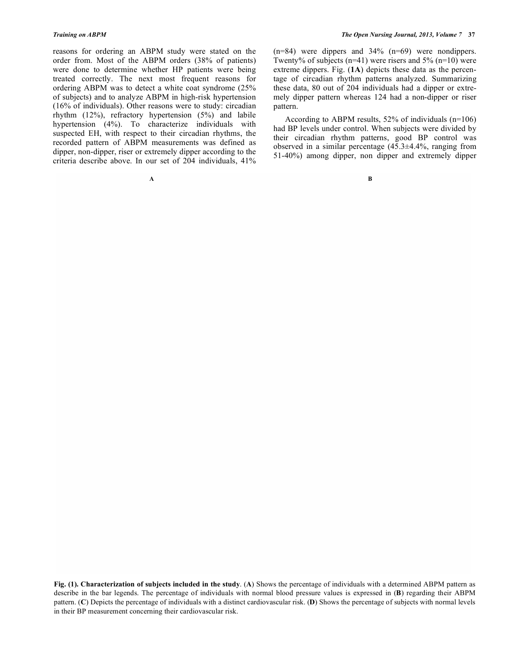reasons for ordering an ABPM study were stated on the order from. Most of the ABPM orders (38% of patients) were done to determine whether HP patients were being treated correctly. The next most frequent reasons for ordering ABPM was to detect a white coat syndrome (25% of subjects) and to analyze ABPM in high-risk hypertension (16% of individuals). Other reasons were to study: circadian rhythm (12%), refractory hypertension (5%) and labile hypertension (4%). To characterize individuals with suspected EH, with respect to their circadian rhythms, the recorded pattern of ABPM measurements was defined as dipper, non-dipper, riser or extremely dipper according to the criteria describe above. In our set of 204 individuals, 41% (n=84) were dippers and 34% (n=69) were nondippers. Twenty% of subjects (n=41) were risers and  $5\%$  (n=10) were extreme dippers. Fig. (**1A**) depicts these data as the percentage of circadian rhythm patterns analyzed. Summarizing these data, 80 out of 204 individuals had a dipper or extremely dipper pattern whereas 124 had a non-dipper or riser pattern.

 According to ABPM results, 52% of individuals (n=106) had BP levels under control. When subjects were divided by their circadian rhythm patterns, good BP control was observed in a similar percentage (45.3±4.4%, ranging from 51-40%) among dipper, non dipper and extremely dipper

**Fig. (1). Characterization of subjects included in the study**. (**A**) Shows the percentage of individuals with a determined ABPM pattern as describe in the bar legends. The percentage of individuals with normal blood pressure values is expressed in (**B**) regarding their ABPM pattern. (**C**) Depicts the percentage of individuals with a distinct cardiovascular risk. (**D**) Shows the percentage of subjects with normal levels in their BP measurement concerning their cardiovascular risk.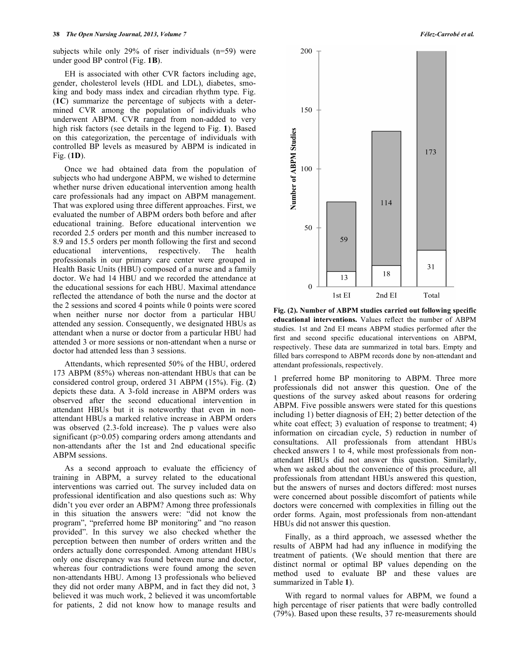subjects while only 29% of riser individuals (n=59) were under good BP control (Fig. **1B**).

 EH is associated with other CVR factors including age, gender, cholesterol levels (HDL and LDL), diabetes, smoking and body mass index and circadian rhythm type. Fig. (**1C**) summarize the percentage of subjects with a determined CVR among the population of individuals who underwent ABPM. CVR ranged from non-added to very high risk factors (see details in the legend to Fig. **1**). Based on this categorization, the percentage of individuals with controlled BP levels as measured by ABPM is indicated in Fig. (**1D**).

 Once we had obtained data from the population of subjects who had undergone ABPM, we wished to determine whether nurse driven educational intervention among health care professionals had any impact on ABPM management. That was explored using three different approaches. First, we evaluated the number of ABPM orders both before and after educational training. Before educational intervention we recorded 2.5 orders per month and this number increased to 8.9 and 15.5 orders per month following the first and second educational interventions, respectively. The health professionals in our primary care center were grouped in Health Basic Units (HBU) composed of a nurse and a family doctor. We had 14 HBU and we recorded the attendance at the educational sessions for each HBU. Maximal attendance reflected the attendance of both the nurse and the doctor at the 2 sessions and scored 4 points while 0 points were scored when neither nurse nor doctor from a particular HBU attended any session. Consequently, we designated HBUs as attendant when a nurse or doctor from a particular HBU had attended 3 or more sessions or non-attendant when a nurse or doctor had attended less than 3 sessions.

 Attendants, which represented 50% of the HBU, ordered 173 ABPM (85%) whereas non-attendant HBUs that can be considered control group, ordered 31 ABPM (15%). Fig. (**2**) depicts these data. A 3-fold increase in ABPM orders was observed after the second educational intervention in attendant HBUs but it is noteworthy that even in nonattendant HBUs a marked relative increase in ABPM orders was observed (2.3-fold increase). The p values were also significant (p>0.05) comparing orders among attendants and non-attendants after the 1st and 2nd educational specific ABPM sessions.

 As a second approach to evaluate the efficiency of training in ABPM, a survey related to the educational interventions was carried out. The survey included data on professional identification and also questions such as: Why didn't you ever order an ABPM? Among three professionals in this situation the answers were: "did not know the program", "preferred home BP monitoring" and "no reason provided". In this survey we also checked whether the perception between then number of orders written and the orders actually done corresponded. Among attendant HBUs only one discrepancy was found between nurse and doctor, whereas four contradictions were found among the seven non-attendants HBU. Among 13 professionals who believed they did not order many ABPM, and in fact they did not, 3 believed it was much work, 2 believed it was uncomfortable for patients, 2 did not know how to manage results and



**Fig. (2). Number of ABPM studies carried out following specific educational interventions.** Values reflect the number of ABPM studies. 1st and 2nd EI means ABPM studies performed after the first and second specific educational interventions on ABPM, respectively. These data are summarized in total bars. Empty and filled bars correspond to ABPM records done by non-attendant and attendant professionals, respectively.

1 preferred home BP monitoring to ABPM. Three more professionals did not answer this question. One of the questions of the survey asked about reasons for ordering ABPM. Five possible answers were stated for this questions including 1) better diagnosis of EH; 2) better detection of the white coat effect; 3) evaluation of response to treatment; 4) information on circadian cycle, 5) reduction in number of consultations. All professionals from attendant HBUs checked answers 1 to 4, while most professionals from nonattendant HBUs did not answer this question. Similarly, when we asked about the convenience of this procedure, all professionals from attendant HBUs answered this question, but the answers of nurses and doctors differed: most nurses were concerned about possible discomfort of patients while doctors were concerned with complexities in filling out the order forms. Again, most professionals from non-attendant HBUs did not answer this question.

 Finally, as a third approach, we assessed whether the results of ABPM had had any influence in modifying the treatment of patients. (We should mention that there are distinct normal or optimal BP values depending on the method used to evaluate BP and these values are summarized in Table **1**).

 With regard to normal values for ABPM, we found a high percentage of riser patients that were badly controlled (79%). Based upon these results, 37 re-measurements should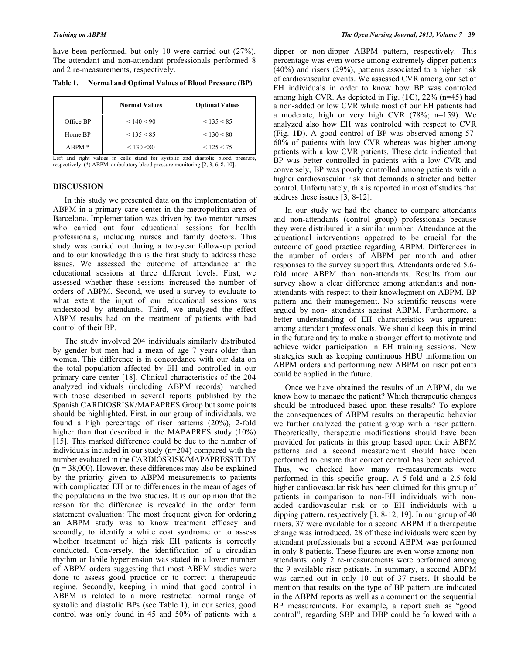have been performed, but only 10 were carried out  $(27%)$ . The attendant and non-attendant professionals performed 8 and 2 re-measurements, respectively.

|           | <b>Normal Values</b> | <b>Optimal Values</b> |
|-----------|----------------------|-----------------------|
| Office BP | < 140 < 90           | < 135 < 85            |
| Home BP   | < 135 < 85           | < 130 < 80            |
| $ABPM*$   | < 130 < 80           | < 125 < 75            |

**Table 1. Normal and Optimal Values of Blood Pressure (BP)** 

Left and right values in cells stand for systolic and diastolic blood pressure, respectively. (\*) ABPM, ambulatory blood pressure monitoring [2, 3, 6, 8, 10].

# **DISCUSSION**

 In this study we presented data on the implementation of ABPM in a primary care center in the metropolitan area of Barcelona. Implementation was driven by two mentor nurses who carried out four educational sessions for health professionals, including nurses and family doctors. This study was carried out during a two-year follow-up period and to our knowledge this is the first study to address these issues. We assessed the outcome of attendance at the educational sessions at three different levels. First, we assessed whether these sessions increased the number of orders of ABPM. Second, we used a survey to evaluate to what extent the input of our educational sessions was understood by attendants. Third, we analyzed the effect ABPM results had on the treatment of patients with bad control of their BP.

 The study involved 204 individuals similarly distributed by gender but men had a mean of age 7 years older than women. This difference is in concordance with our data on the total population affected by EH and controlled in our primary care center [18]. Clinical characteristics of the 204 analyzed individuals (including ABPM records) matched with those described in several reports published by the Spanish CARDIOSRISK/MAPAPRES Group but some points should be highlighted. First, in our group of individuals, we found a high percentage of riser patterns (20%), 2-fold higher than that described in the MAPAPRES study (10%) [15]. This marked difference could be due to the number of individuals included in our study (n=204) compared with the number evaluated in the CARDIOSRISK/MAPAPRESSTUDY  $(n = 38,000)$ . However, these differences may also be explained by the priority given to ABPM measurements to patients with complicated EH or to differences in the mean of ages of the populations in the two studies. It is our opinion that the reason for the difference is revealed in the order form statement evaluation: The most frequent given for ordering an ABPM study was to know treatment efficacy and secondly, to identify a white coat syndrome or to assess whether treatment of high risk EH patients is correctly conducted. Conversely, the identification of a circadian rhythm or labile hypertension was stated in a lower number of ABPM orders suggesting that most ABPM studies were done to assess good practice or to correct a therapeutic regime. Secondly, keeping in mind that good control in ABPM is related to a more restricted normal range of systolic and diastolic BPs (see Table **1**), in our series, good control was only found in 45 and 50% of patients with a

dipper or non-dipper ABPM pattern, respectively. This percentage was even worse among extremely dipper patients (40%) and risers (29%), patterns associated to a higher risk of cardiovascular events. We assessed CVR among our set of EH individuals in order to know how BP was controled among high CVR. As depicted in Fig. (**1C**), 22% (n=45) had a non-added or low CVR while most of our EH patients had a moderate, high or very high CVR (78%; n=159). We analyzed also how EH was controled with respect to CVR (Fig. **1D**). A good control of BP was observed among 57- 60% of patients with low CVR whereas was higher among patients with a low CVR patients. These data indicated that BP was better controlled in patients with a low CVR and conversely, BP was poorly controlled among patients with a higher cardiovascular risk that demands a stricter and better control. Unfortunately, this is reported in most of studies that address these issues [3, 8-12].

 In our study we had the chance to compare attendants and non-attendants (control group) professionals because they were distributed in a similar number. Attendance at the educational interventions appeared to be crucial for the outcome of good practice regarding ABPM. Differences in the number of orders of ABPM per month and other responses to the survey support this. Attendants ordered 5.6 fold more ABPM than non-attendants. Results from our survey show a clear difference among attendants and nonattendants with respect to their knowlegment on ABPM, BP pattern and their manegement. No scientific reasons were argued by non- attendants against ABPM. Furthermore, a better understanding of EH characteristics was apparent among attendant professionals. We should keep this in mind in the future and try to make a stronger effort to motivate and achieve wider participation in EH training sessions. New strategies such as keeping continuous HBU information on ABPM orders and performing new ABPM on riser patients could be applied in the future.

 Once we have obtained the results of an ABPM, do we know how to manage the patient? Which therapeutic changes should be introduced based upon these results? To explore the consequences of ABPM results on therapeutic behavior we further analyzed the patient group with a riser pattern. Theoretically, therapeutic modifications should have been provided for patients in this group based upon their ABPM patterns and a second measurement should have been performed to ensure that correct control has been achieved. Thus, we checked how many re-measurements were performed in this specific group. A 5-fold and a 2.5-fold higher cardiovascular risk has been claimed for this group of patients in comparison to non-EH individuals with nonadded cardiovascular risk or to EH individuals with a dipping pattern, respectively [3, 8-12, 19]. In our group of 40 risers, 37 were available for a second ABPM if a therapeutic change was introduced. 28 of these individuals were seen by attendant professionals but a second ABPM was performed in only 8 patients. These figures are even worse among nonattendants: only 2 re-measurements were performed among the 9 available riser patients. In summary, a second ABPM was carried out in only 10 out of 37 risers. It should be mention that results on the type of BP pattern are indicated in the ABPM reports as well as a comment on the sequential BP measurements. For example, a report such as "good control", regarding SBP and DBP could be followed with a